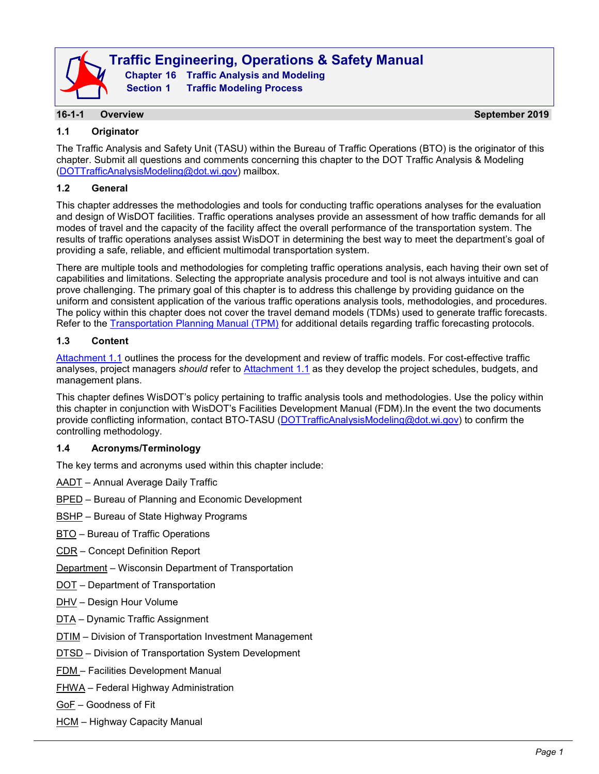

#### **16-1-1 Overview September 2019**

#### **1.1 Originator**

The Traffic Analysis and Safety Unit (TASU) within the Bureau of Traffic Operations (BTO) is the originator of this chapter. Submit all questions and comments concerning this chapter to the DOT Traffic Analysis & Modeling [\(DOTTrafficAnalysisModeling@dot.wi.gov\)](mailto:DOTTrafficAnalysisModeling@dot.wi.gov) mailbox.

#### **1.2 General**

This chapter addresses the methodologies and tools for conducting traffic operations analyses for the evaluation and design of WisDOT facilities. Traffic operations analyses provide an assessment of how traffic demands for all modes of travel and the capacity of the facility affect the overall performance of the transportation system. The results of traffic operations analyses assist WisDOT in determining the best way to meet the department's goal of providing a safe, reliable, and efficient multimodal transportation system.

There are multiple tools and methodologies for completing traffic operations analysis, each having their own set of capabilities and limitations. Selecting the appropriate analysis procedure and tool is not always intuitive and can prove challenging. The primary goal of this chapter is to address this challenge by providing guidance on the uniform and consistent application of the various traffic operations analysis tools, methodologies, and procedures. The policy within this chapter does not cover the travel demand models (TDMs) used to generate traffic forecasts. Refer to the [Transportation Planning Manual \(TPM\)](http://wisconsindot.gov/Documents/projects/data-plan/plan-res/tpm/9.pdf) for additional details regarding traffic forecasting protocols.

#### **1.3 Content**

[Attachment 1.1](http://wisconsindot.gov/dtsdManuals/traffic-ops/manuals-and-standards/teops/16-01att1.1.pdf) outlines the process for the development and review of traffic models. For cost-effective traffic analyses, project managers *should* refer to [Attachment 1.1](http://wisconsindot.gov/dtsdManuals/traffic-ops/manuals-and-standards/teops/16-01att1.1.pdf) as they develop the project schedules, budgets, and management plans.

This chapter defines WisDOT's policy pertaining to traffic analysis tools and methodologies. Use the policy within this chapter in conjunction with WisDOT's Facilities Development Manual (FDM).In the event the two documents provide conflicting information, contact BTO-TASU [\(DOTTrafficAnalysisModeling@dot.wi.gov\)](mailto:DOTTrafficAnalysisModeling@dot.wi.gov) to confirm the controlling methodology.

#### **1.4 Acronyms/Terminology**

The key terms and acronyms used within this chapter include:

AADT – Annual Average Daily Traffic

- **BPED** Bureau of Planning and Economic Development
- BSHP Bureau of State Highway Programs
- BTO Bureau of Traffic Operations
- CDR Concept Definition Report
- Department Wisconsin Department of Transportation

DOT - Department of Transportation

- DHV Design Hour Volume
- DTA Dynamic Traffic Assignment
- DTIM Division of Transportation Investment Management

DTSD – Division of Transportation System Development

FDM – Facilities Development Manual

FHWA – Federal Highway Administration

GoF – Goodness of Fit

HCM – Highway Capacity Manual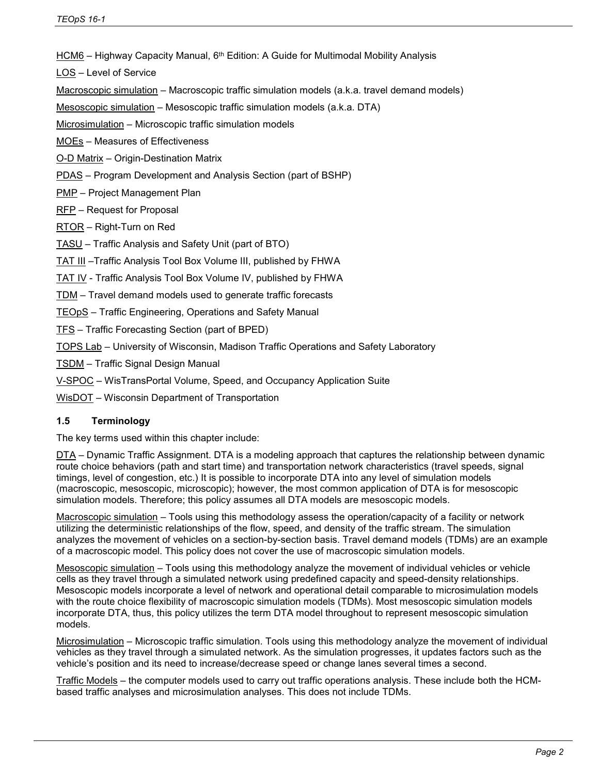$HCM6 - Highway Capacity Manual, 6<sup>th</sup> Edition: A Guide for Multimodal Mobility Analysis$ 

LOS – Level of Service

Macroscopic simulation – Macroscopic traffic simulation models (a.k.a. travel demand models)

Mesoscopic simulation – Mesoscopic traffic simulation models (a.k.a. DTA)

Microsimulation – Microscopic traffic simulation models

MOEs – Measures of Effectiveness

O-D Matrix – Origin-Destination Matrix

PDAS – Program Development and Analysis Section (part of BSHP)

PMP – Project Management Plan

RFP – Request for Proposal

RTOR – Right-Turn on Red

TASU – Traffic Analysis and Safety Unit (part of BTO)

TAT III –Traffic Analysis Tool Box Volume III, published by FHWA

TAT IV - Traffic Analysis Tool Box Volume IV, published by FHWA

TDM – Travel demand models used to generate traffic forecasts

TEOpS – Traffic Engineering, Operations and Safety Manual

TFS – Traffic Forecasting Section (part of BPED)

TOPS Lab – University of Wisconsin, Madison Traffic Operations and Safety Laboratory

TSDM – Traffic Signal Design Manual

V-SPOC – WisTransPortal Volume, Speed, and Occupancy Application Suite

WisDOT – Wisconsin Department of Transportation

#### **1.5 Terminology**

The key terms used within this chapter include:

DTA – Dynamic Traffic Assignment. DTA is a modeling approach that captures the relationship between dynamic route choice behaviors (path and start time) and transportation network characteristics (travel speeds, signal timings, level of congestion, etc.) It is possible to incorporate DTA into any level of simulation models (macroscopic, mesoscopic, microscopic); however, the most common application of DTA is for mesoscopic simulation models. Therefore; this policy assumes all DTA models are mesoscopic models.

Macroscopic simulation – Tools using this methodology assess the operation/capacity of a facility or network utilizing the deterministic relationships of the flow, speed, and density of the traffic stream. The simulation analyzes the movement of vehicles on a section-by-section basis. Travel demand models (TDMs) are an example of a macroscopic model. This policy does not cover the use of macroscopic simulation models.

Mesoscopic simulation – Tools using this methodology analyze the movement of individual vehicles or vehicle cells as they travel through a simulated network using predefined capacity and speed-density relationships. Mesoscopic models incorporate a level of network and operational detail comparable to microsimulation models with the route choice flexibility of macroscopic simulation models (TDMs). Most mesoscopic simulation models incorporate DTA, thus, this policy utilizes the term DTA model throughout to represent mesoscopic simulation models.

Microsimulation – Microscopic traffic simulation. Tools using this methodology analyze the movement of individual vehicles as they travel through a simulated network. As the simulation progresses, it updates factors such as the vehicle's position and its need to increase/decrease speed or change lanes several times a second.

Traffic Models – the computer models used to carry out traffic operations analysis. These include both the HCMbased traffic analyses and microsimulation analyses. This does not include TDMs.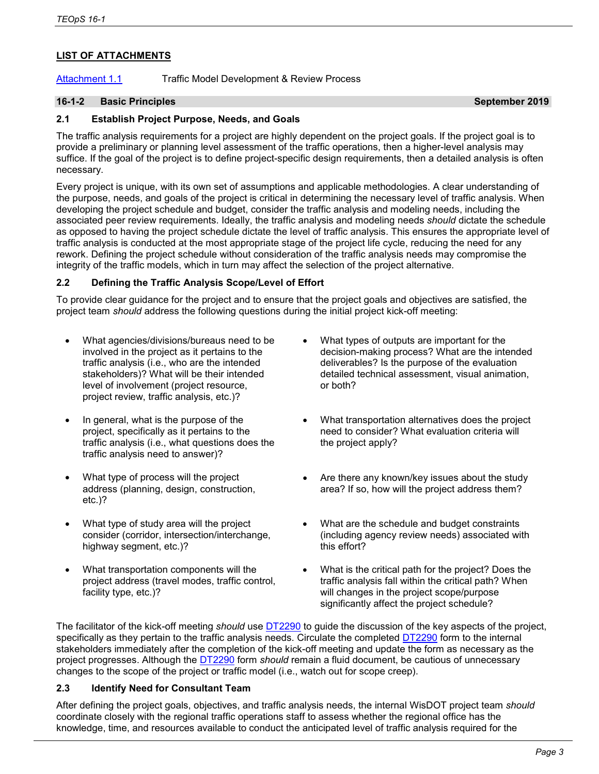# **LIST OF ATTACHMENTS**

# [Attachment 1.1](http://wisconsindot.gov/dtsdManuals/traffic-ops/manuals-and-standards/teops/16-01att1.1.pdf) Traffic Model Development & Review Process

#### **16-1-2 Basic Principles September 2019**

## **2.1 Establish Project Purpose, Needs, and Goals**

The traffic analysis requirements for a project are highly dependent on the project goals. If the project goal is to provide a preliminary or planning level assessment of the traffic operations, then a higher-level analysis may suffice. If the goal of the project is to define project-specific design requirements, then a detailed analysis is often necessary.

Every project is unique, with its own set of assumptions and applicable methodologies. A clear understanding of the purpose, needs, and goals of the project is critical in determining the necessary level of traffic analysis. When developing the project schedule and budget, consider the traffic analysis and modeling needs, including the associated peer review requirements. Ideally, the traffic analysis and modeling needs *should* dictate the schedule as opposed to having the project schedule dictate the level of traffic analysis. This ensures the appropriate level of traffic analysis is conducted at the most appropriate stage of the project life cycle, reducing the need for any rework. Defining the project schedule without consideration of the traffic analysis needs may compromise the integrity of the traffic models, which in turn may affect the selection of the project alternative.

# **2.2 Defining the Traffic Analysis Scope/Level of Effort**

To provide clear guidance for the project and to ensure that the project goals and objectives are satisfied, the project team *should* address the following questions during the initial project kick-off meeting:

- What agencies/divisions/bureaus need to be involved in the project as it pertains to the traffic analysis (i.e., who are the intended stakeholders)? What will be their intended level of involvement (project resource, project review, traffic analysis, etc.)?
- In general, what is the purpose of the project, specifically as it pertains to the traffic analysis (i.e., what questions does the traffic analysis need to answer)?
- What type of process will the project address (planning, design, construction, etc.)?
- What type of study area will the project consider (corridor, intersection/interchange, highway segment, etc.)?
- What transportation components will the project address (travel modes, traffic control, facility type, etc.)?
- What types of outputs are important for the decision-making process? What are the intended deliverables? Is the purpose of the evaluation detailed technical assessment, visual animation, or both?
- What transportation alternatives does the project need to consider? What evaluation criteria will the project apply?
- Are there any known/key issues about the study area? If so, how will the project address them?
- What are the schedule and budget constraints (including agency review needs) associated with this effort?
- What is the critical path for the project? Does the traffic analysis fall within the critical path? When will changes in the project scope/purpose significantly affect the project schedule?

The facilitator of the kick-off meeting *should* use [DT2290](http://wisconsindot.gov/Documents/formdocs/dt2290.docx) to guide the discussion of the key aspects of the project, specifically as they pertain to the traffic analysis needs. Circulate the completed [DT2290](http://wisconsindot.gov/Documents/formdocs/dt2290.docx) form to the internal stakeholders immediately after the completion of the kick-off meeting and update the form as necessary as the project progresses. Although the [DT2290](http://wisconsindot.gov/Documents/formdocs/dt2290.docx) form *should* remain a fluid document, be cautious of unnecessary changes to the scope of the project or traffic model (i.e., watch out for scope creep).

#### **2.3 Identify Need for Consultant Team**

After defining the project goals, objectives, and traffic analysis needs, the internal WisDOT project team *should* coordinate closely with the regional traffic operations staff to assess whether the regional office has the knowledge, time, and resources available to conduct the anticipated level of traffic analysis required for the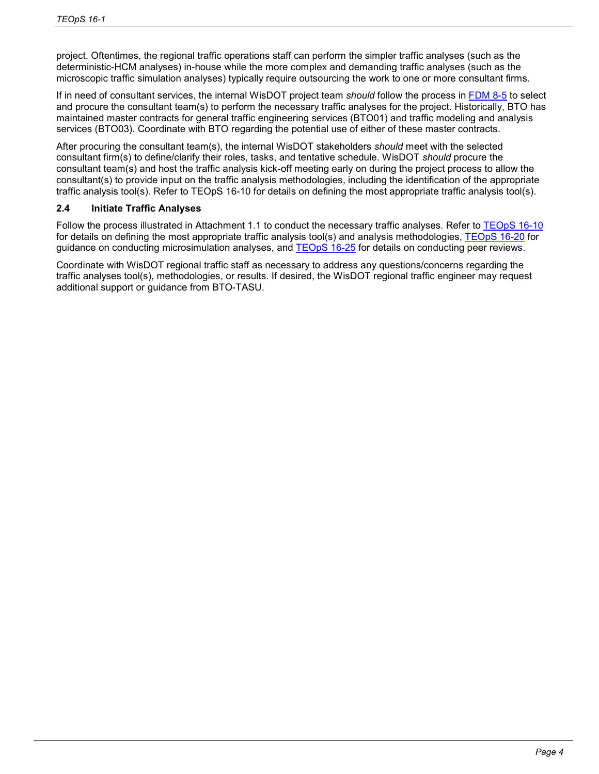project. Oftentimes, the regional traffic operations staff can perform the simpler traffic analyses (such as the deterministic-HCM analyses) in-house while the more complex and demanding traffic analyses (such as the microscopic traffic simulation analyses) typically require outsourcing the work to one or more consultant firms.

If in need of consultant services, the internal WisDOT project team *should* follow the process in [FDM 8-5](http://wisconsindot.gov/rdwy/fdm/fd-08-05.pdf) to select and procure the consultant team(s) to perform the necessary traffic analyses for the project. Historically, BTO has maintained master contracts for general traffic engineering services (BTO01) and traffic modeling and analysis services (BTO03). Coordinate with BTO regarding the potential use of either of these master contracts.

After procuring the consultant team(s), the internal WisDOT stakeholders *should* meet with the selected consultant firm(s) to define/clarify their roles, tasks, and tentative schedule. WisDOT *should* procure the consultant team(s) and host the traffic analysis kick-off meeting early on during the project process to allow the consultant(s) to provide input on the traffic analysis methodologies, including the identification of the appropriate traffic analysis tool(s). Refer to TEOpS 16-10 for details on defining the most appropriate traffic analysis tool(s).

#### **2.4 Initiate Traffic Analyses**

Follow the process illustrated in Attachment 1.1 to conduct the necessary traffic analyses. Refer to [TEOpS](http://wisconsindot.gov/dtsdManuals/traffic-ops/manuals-and-standards/teops/16-10.pdf) 16-10 for details on defining the most appropriate traffic analysis tool(s) and analysis methodologies, [TEOpS 16-20](http://wisconsindot.gov/dtsdManuals/traffic-ops/manuals-and-standards/teops/16-20.pdf) for guidance on conducting microsimulation analyses, and [TEOpS 16-25](http://wisconsindot.gov/dtsdManuals/traffic-ops/manuals-and-standards/teops/16-25.pdf) for details on conducting peer reviews.

Coordinate with WisDOT regional traffic staff as necessary to address any questions/concerns regarding the traffic analyses tool(s), methodologies, or results. If desired, the WisDOT regional traffic engineer may request additional support or guidance from BTO-TASU.